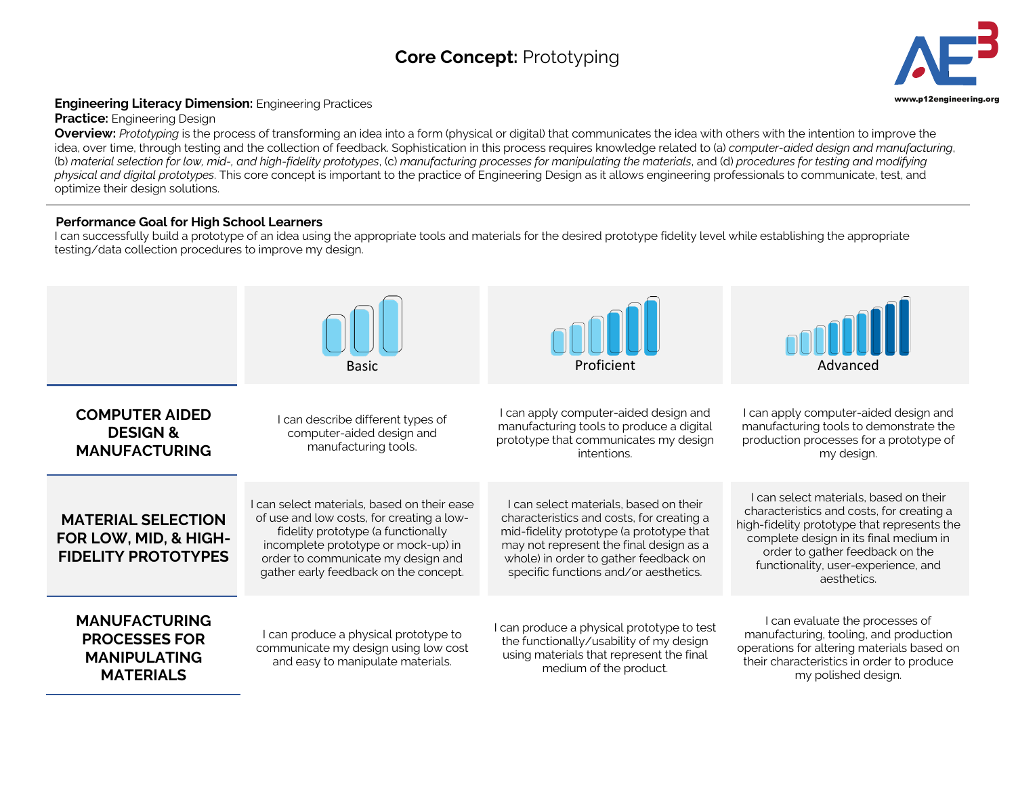## **Core Concept:** Prototyping **3**



## **Engineering Literacy Dimension:** Engineering Practices **Engineering.org and Secure 2016** and the structure of the structure of the structure of the structure of the structure of the structure of the structure of the struc

**Practice:** Engineering Design

**Overview:** *Prototyping* is the process of transforming an idea into a form (physical or digital) that communicates the idea with others with the intention to improve the idea, over time, through testing and the collection of feedback. Sophistication in this process requires knowledge related to (a) *computer-aided design and manufacturing*, (b) *material selection for low, mid-, and high-fidelity prototypes*, (c) *manufacturing processes for manipulating the materials*, and (d) *procedures for testing and modifying physical and digital prototypes*. This core concept is important to the practice of Engineering Design as it allows engineering professionals to communicate, test, and optimize their design solutions.

## **Performance Goal for High School Learners**

I can successfully build a prototype of an idea using the appropriate tools and materials for the desired prototype fidelity level while establishing the appropriate testing/data collection procedures to improve my design.